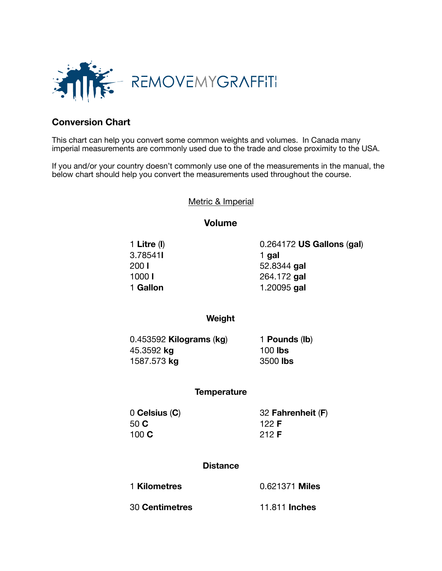

## **Conversion Chart**

This chart can help you convert some common weights and volumes. In Canada many imperial measurements are commonly used due to the trade and close proximity to the USA.

If you and/or your country doesn't commonly use one of the measurements in the manual, the below chart should help you convert the measurements used throughout the course.

Metric & Imperial

**Volume** 

**3.78541 1 gal** 

 1 **Litre** (**l**) 0.264172 **US Gallons** (**gal**) 200 **l** 52.8344 **gal 1000 <b>l 264.172 gal** 1 **Gallon 1.20095 gal** 

**Weight** 

| $0.453592$ Kilograms (kg) | 1 Pounds (lb)   |
|---------------------------|-----------------|
| 45.3592 kg<br>1587.573 kg | 100 <b>lbs</b>  |
|                           | 3500 <b>lbs</b> |

## **Temperature**

**50 C 122 F**  100 **C** 212 **F**

 0 **Celsius** (**C**) 32 **Fahrenheit** (**F**)

## **Distance**

1 **Kilometres**  $0.621371$  Miles 30 **Centimetres** 11.811 **Inches**